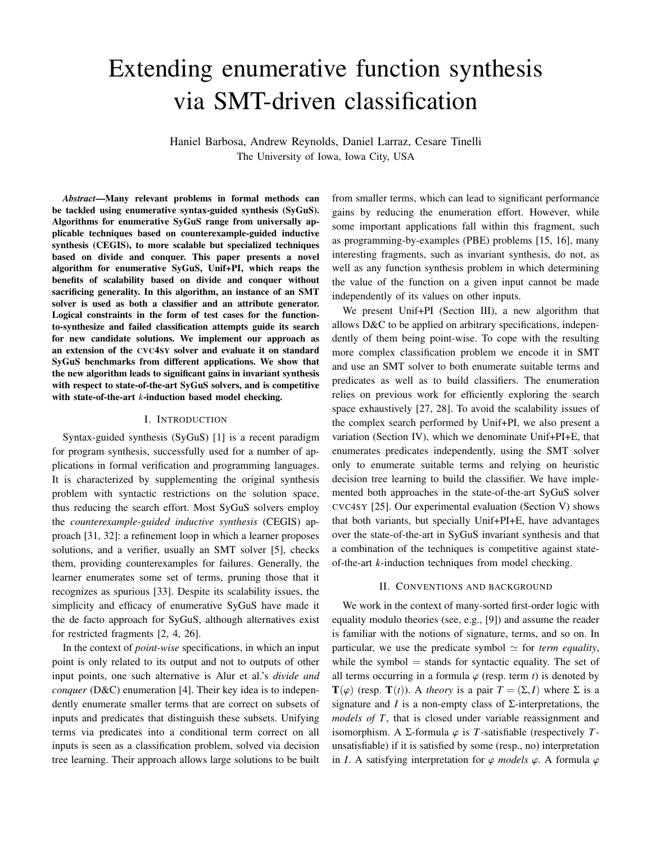# Extending enumerative function synthesis via SMT-driven classification

Haniel Barbosa, Andrew Reynolds, Daniel Larraz, Cesare Tinelli The University of Iowa, Iowa City, USA

*Abstract*—Many relevant problems in formal methods can be tackled using enumerative syntax-guided synthesis (SyGuS). Algorithms for enumerative SyGuS range from universally applicable techniques based on counterexample-guided inductive synthesis (CEGIS), to more scalable but specialized techniques based on divide and conquer. This paper presents a novel algorithm for enumerative SyGuS, Unif+PI, which reaps the benefits of scalability based on divide and conquer without sacrificing generality. In this algorithm, an instance of an SMT solver is used as both a classifier and an attribute generator. Logical constraints in the form of test cases for the functionto-synthesize and failed classification attempts guide its search for new candidate solutions. We implement our approach as an extension of the CVC4SY solver and evaluate it on standard SyGuS benchmarks from different applications. We show that the new algorithm leads to significant gains in invariant synthesis with respect to state-of-the-art SyGuS solvers, and is competitive with state-of-the-art *k*-induction based model checking.

#### I. INTRODUCTION

Syntax-guided synthesis (SyGuS) [\[1\]](#page-8-0) is a recent paradigm for program synthesis, successfully used for a number of applications in formal verification and programming languages. It is characterized by supplementing the original synthesis problem with syntactic restrictions on the solution space, thus reducing the search effort. Most SyGuS solvers employ the *counterexample-guided inductive synthesis* (CEGIS) approach [\[31,](#page-8-1) [32\]](#page-8-2): a refinement loop in which a learner proposes solutions, and a verifier, usually an SMT solver [\[5\]](#page-8-3), checks them, providing counterexamples for failures. Generally, the learner enumerates some set of terms, pruning those that it recognizes as spurious [\[33\]](#page-8-4). Despite its scalability issues, the simplicity and efficacy of enumerative SyGuS have made it the de facto approach for SyGuS, although alternatives exist for restricted fragments [\[2,](#page-8-5) [4,](#page-8-6) [26\]](#page-8-7).

In the context of *point-wise* specifications, in which an input point is only related to its output and not to outputs of other input points, one such alternative is Alur et al.'s *divide and conquer* (D&C) enumeration [\[4\]](#page-8-6). Their key idea is to independently enumerate smaller terms that are correct on subsets of inputs and predicates that distinguish these subsets. Unifying terms via predicates into a conditional term correct on all inputs is seen as a classification problem, solved via decision tree learning. Their approach allows large solutions to be built

from smaller terms, which can lead to significant performance gains by reducing the enumeration effort. However, while some important applications fall within this fragment, such as programming-by-examples (PBE) problems [\[15,](#page-8-8) [16\]](#page-8-9), many interesting fragments, such as invariant synthesis, do not, as well as any function synthesis problem in which determining the value of the function on a given input cannot be made independently of its values on other inputs.

We present Unif+PI (Section [III\)](#page-2-0), a new algorithm that allows D&C to be applied on arbitrary specifications, independently of them being point-wise. To cope with the resulting more complex classification problem we encode it in SMT and use an SMT solver to both enumerate suitable terms and predicates as well as to build classifiers. The enumeration relies on previous work for efficiently exploring the search space exhaustively [\[27,](#page-8-10) [28\]](#page-8-11). To avoid the scalability issues of the complex search performed by Unif+PI, we also present a variation (Section [IV\)](#page-5-0), which we denominate Unif+PI+E, that enumerates predicates independently, using the SMT solver only to enumerate suitable terms and relying on heuristic decision tree learning to build the classifier. We have implemented both approaches in the state-of-the-art SyGuS solver CVC4SY [\[25\]](#page-8-12). Our experimental evaluation (Section [V\)](#page-5-1) shows that both variants, but specially Unif+PI+E, have advantages over the state-of-the-art in SyGuS invariant synthesis and that a combination of the techniques is competitive against stateof-the-art *k*-induction techniques from model checking.

#### II. CONVENTIONS AND BACKGROUND

We work in the context of many-sorted first-order logic with equality modulo theories (see, e.g., [\[9\]](#page-8-13)) and assume the reader is familiar with the notions of signature, terms, and so on. In particular, we use the predicate symbol  $\simeq$  for *term equality*, while the symbol  $=$  stands for syntactic equality. The set of all terms occurring in a formula  $\varphi$  (resp. term *t*) is denoted by  $\mathbf{T}(\varphi)$  (resp.  $\mathbf{T}(t)$ ). A *theory* is a pair  $T = (\Sigma, I)$  where  $\Sigma$  is a signature and *I* is a non-empty class of  $\Sigma$ -interpretations, the *models of T*, that is closed under variable reassignment and isomorphism. A  $\Sigma$ -formula  $\varphi$  is *T*-satisfiable (respectively *T*unsatisfiable) if it is satisfied by some (resp., no) interpretation in *I*. A satisfying interpretation for  $\varphi$  *models*  $\varphi$ . A formula  $\varphi$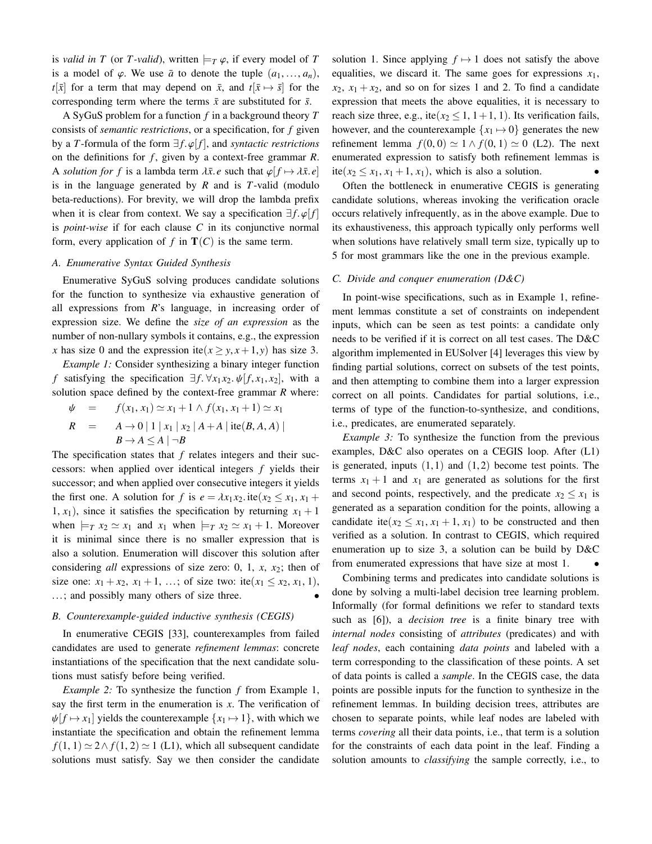is *valid in T* (or *T-valid*), written  $\models$ *T*  $\varphi$ , if every model of *T* is a model of  $\varphi$ . We use  $\bar{a}$  to denote the tuple  $(a_1, \ldots, a_n)$ ,  $t[\bar{x}]$  for a term that may depend on  $\bar{x}$ , and  $t[\bar{x} \mapsto \bar{s}]$  for the corresponding term where the terms  $\bar{x}$  are substituted for  $\bar{s}$ .

A SyGuS problem for a function *f* in a background theory *T* consists of *semantic restrictions*, or a specification, for *f* given by a *T*-formula of the form  $\exists f.\varphi[f]$ , and *syntactic restrictions* on the definitions for *f* , given by a context-free grammar *R*. A *solution for f* is a lambda term  $\lambda \bar{x}$ . *e* such that  $\varphi[f \mapsto \lambda \bar{x}, e]$ is in the language generated by *R* and is *T*-valid (modulo beta-reductions). For brevity, we will drop the lambda prefix when it is clear from context. We say a specification  $\exists f, \varphi[f]$ is *point-wise* if for each clause *C* in its conjunctive normal form, every application of  $f$  in  $T(C)$  is the same term.

# *A. Enumerative Syntax Guided Synthesis*

Enumerative SyGuS solving produces candidate solutions for the function to synthesize via exhaustive generation of all expressions from *R*'s language, in increasing order of expression size. We define the *size of an expression* as the number of non-nullary symbols it contains, e.g., the expression *x* has size 0 and the expression ite( $x \geq y, x+1, y$ ) has size 3.

<span id="page-1-0"></span>*Example 1:* Consider synthesizing a binary integer function *f* satisfying the specification  $\exists f$ . ∀*x*<sub>1</sub>*x*<sub>2</sub>.  $\psi[f, x_1, x_2]$ , with a solution space defined by the context-free grammar *R* where:

$$
\psi = f(x_1, x_1) \simeq x_1 + 1 \wedge f(x_1, x_1 + 1) \simeq x_1
$$
  
\n
$$
R = A \to 0 | 1 | x_1 | x_2 | A + A | \text{ite}(B, A, A) |
$$
  
\n
$$
B \to A \leq A | \neg B
$$

The specification states that *f* relates integers and their successors: when applied over identical integers *f* yields their successor; and when applied over consecutive integers it yields the first one. A solution for *f* is  $e = \lambda x_1 x_2$ . ite( $x_2 \le x_1, x_1 +$ 1,  $x_1$ ), since it satisfies the specification by returning  $x_1 + 1$ when  $\models$ *T*  $x_2 \simeq x_1$  and  $x_1$  when  $\models$ *T*  $x_2 \simeq x_1 + 1$ . Moreover it is minimal since there is no smaller expression that is also a solution. Enumeration will discover this solution after considering *all* expressions of size zero: 0, 1, *x*, *x*2; then of size one:  $x_1 + x_2$ ,  $x_1 + 1$ , ...; of size two: ite( $x_1 \le x_2$ ,  $x_1$ , 1), ...; and possibly many others of size three.

# *B. Counterexample-guided inductive synthesis (CEGIS)*

In enumerative CEGIS [\[33\]](#page-8-4), counterexamples from failed candidates are used to generate *refinement lemmas*: concrete instantiations of the specification that the next candidate solutions must satisfy before being verified.

*Example 2:* To synthesize the function *f* from Example [1,](#page-1-0) say the first term in the enumeration is *x*. The verification of  $\psi[f \mapsto x_1]$  yields the counterexample  $\{x_1 \mapsto 1\}$ , with which we instantiate the specification and obtain the refinement lemma  $f(1, 1) \simeq 2 \wedge f(1, 2) \simeq 1$  (L1), which all subsequent candidate solutions must satisfy. Say we then consider the candidate solution 1. Since applying  $f \mapsto 1$  does not satisfy the above equalities, we discard it. The same goes for expressions *x*1,  $x_2$ ,  $x_1 + x_2$ , and so on for sizes 1 and 2. To find a candidate expression that meets the above equalities, it is necessary to reach size three, e.g., ite( $x_2 \le 1$ , 1+1, 1). Its verification fails, however, and the counterexample  $\{x_1 \mapsto 0\}$  generates the new refinement lemma  $f(0, 0) \simeq 1 \wedge f(0, 1) \simeq 0$  (L2). The next enumerated expression to satisfy both refinement lemmas is ite( $x_2 \leq x_1, x_1 + 1, x_1$ ), which is also a solution.

Often the bottleneck in enumerative CEGIS is generating candidate solutions, whereas invoking the verification oracle occurs relatively infrequently, as in the above example. Due to its exhaustiveness, this approach typically only performs well when solutions have relatively small term size, typically up to 5 for most grammars like the one in the previous example.

## *C. Divide and conquer enumeration (D&C)*

In point-wise specifications, such as in Example [1,](#page-1-0) refinement lemmas constitute a set of constraints on independent inputs, which can be seen as test points: a candidate only needs to be verified if it is correct on all test cases. The D&C algorithm implemented in EUSolver [\[4\]](#page-8-6) leverages this view by finding partial solutions, correct on subsets of the test points, and then attempting to combine them into a larger expression correct on all points. Candidates for partial solutions, i.e., terms of type of the function-to-synthesize, and conditions, i.e., predicates, are enumerated separately.

<span id="page-1-1"></span>*Example 3:* To synthesize the function from the previous examples, D&C also operates on a CEGIS loop. After (L1) is generated, inputs  $(1,1)$  and  $(1,2)$  become test points. The terms  $x_1 + 1$  and  $x_1$  are generated as solutions for the first and second points, respectively, and the predicate  $x_2 \leq x_1$  is generated as a separation condition for the points, allowing a candidate ite( $x_2 \leq x_1, x_1 + 1, x_1$ ) to be constructed and then verified as a solution. In contrast to CEGIS, which required enumeration up to size 3, a solution can be build by D&C from enumerated expressions that have size at most 1.

Combining terms and predicates into candidate solutions is done by solving a multi-label decision tree learning problem. Informally (for formal definitions we refer to standard texts such as [\[6\]](#page-8-14)), a *decision tree* is a finite binary tree with *internal nodes* consisting of *attributes* (predicates) and with *leaf nodes*, each containing *data points* and labeled with a term corresponding to the classification of these points. A set of data points is called a *sample*. In the CEGIS case, the data points are possible inputs for the function to synthesize in the refinement lemmas. In building decision trees, attributes are chosen to separate points, while leaf nodes are labeled with terms *covering* all their data points, i.e., that term is a solution for the constraints of each data point in the leaf. Finding a solution amounts to *classifying* the sample correctly, i.e., to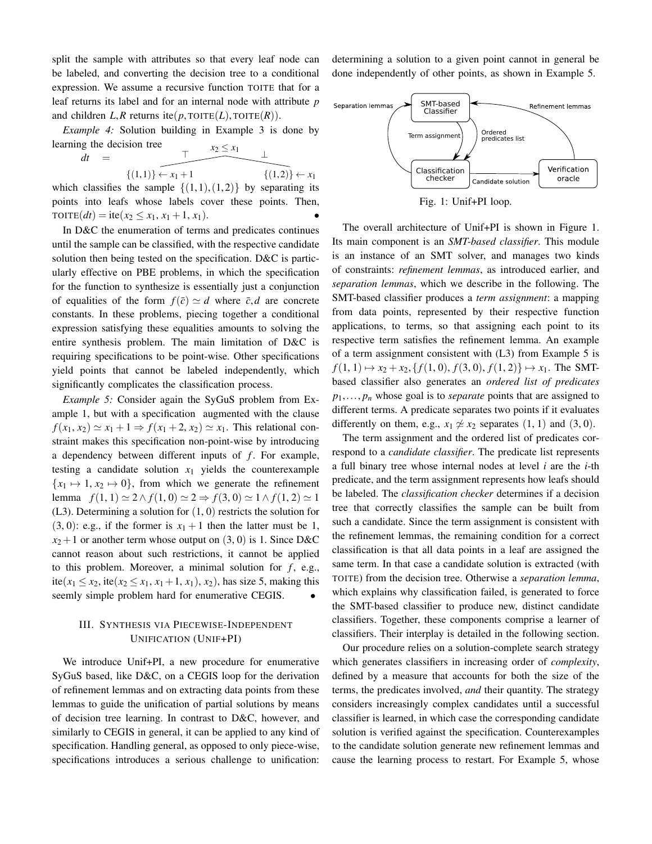split the sample with attributes so that every leaf node can be labeled, and converting the decision tree to a conditional expression. We assume a recursive function TOITE that for a leaf returns its label and for an internal node with attribute *p* and children  $L, R$  returns ite( $p$ , TOITE( $L$ ), TOITE( $R$ )).

*Example 4:* Solution building in Example [3](#page-1-1) is done by learning the decision tree  $x_2 \leq x_1$ 

$$
dt \quad = \quad
$$

$$
\{ (1,1) \} \leftarrow x_1 + 1 \qquad \{ (1,2) \} \leftarrow x_1
$$
\ns, the sample  $f(1,1)$  (1,2) by separating it.

which classifies the sample  $\{(1,1),(1,2)\}$  by separating its<br>points into leafs whose labels source these points. Then points into leafs whose labels cover these points. Then,  $\text{TOITE}(dt) = \text{ite}(x_2 \leq x_1, x_1 + 1, x_1).$ 

In D&C the enumeration of terms and predicates continues until the sample can be classified, with the respective candidate solution then being tested on the specification. D&C is particularly effective on PBE problems, in which the specification for the function to synthesize is essentially just a conjunction of equalities of the form  $f(\bar{c}) \simeq d$  where  $\bar{c}, d$  are concrete constants. In these problems, piecing together a conditional expression satisfying these equalities amounts to solving the entire synthesis problem. The main limitation of D&C is requiring specifications to be point-wise. Other specifications yield points that cannot be labeled independently, which significantly complicates the classification process.

<span id="page-2-1"></span>*Example 5:* Consider again the SyGuS problem from Example [1,](#page-1-0) but with a specification augmented with the clause  $f(x_1, x_2) \simeq x_1 + 1 \Rightarrow f(x_1 + 2, x_2) \simeq x_1$ . This relational constraint makes this specification non-point-wise by introducing a dependency between different inputs of *f*. For example, testing a candidate solution  $x_1$  yields the counterexample  ${x_1 \mapsto 1, x_2 \mapsto 0}$ , from which we generate the refinement lemma  $f(1, 1) \approx 2 \land f(1, 0) \approx 2 \Rightarrow f(3, 0) \approx 1 \land f(1, 2) \approx 1$  $(L3)$ . Determining a solution for  $(1, 0)$  restricts the solution for  $(3, 0)$ : e.g., if the former is  $x_1 + 1$  then the latter must be 1,  $x_2+1$  or another term whose output on  $(3, 0)$  is 1. Since D&C cannot reason about such restrictions, it cannot be applied to this problem. Moreover, a minimal solution for  $f$ , e.g., ite( $x_1 \le x_2$ , ite( $x_2 \le x_1, x_1 + 1, x_1$ ),  $x_2$ ), has size 5, making this seemly simple problem hard for enumerative CEGIS.

# <span id="page-2-0"></span>III. SYNTHESIS VIA PIECEWISE-INDEPENDENT UNIFICATION (UNIF+PI)

We introduce Unif+PI, a new procedure for enumerative SyGuS based, like D&C, on a CEGIS loop for the derivation of refinement lemmas and on extracting data points from these lemmas to guide the unification of partial solutions by means of decision tree learning. In contrast to D&C, however, and similarly to CEGIS in general, it can be applied to any kind of specification. Handling general, as opposed to only piece-wise, specifications introduces a serious challenge to unification:

determining a solution to a given point cannot in general be done independently of other points, as shown in Example [5.](#page-2-1)

<span id="page-2-2"></span>

Fig. 1: Unif+PI loop.

The overall architecture of Unif+PI is shown in Figure [1.](#page-2-2) Its main component is an *SMT-based classifier*. This module is an instance of an SMT solver, and manages two kinds of constraints: *refinement lemmas*, as introduced earlier, and *separation lemmas*, which we describe in the following. The SMT-based classifier produces a *term assignment*: a mapping from data points, represented by their respective function applications, to terms, so that assigning each point to its respective term satisfies the refinement lemma. An example of a term assignment consistent with (L3) from Example [5](#page-2-1) is  $f(1, 1) \mapsto x_2 + x_2$ , { $f(1, 0)$ ,  $f(3, 0)$ ,  $f(1, 2)$ }  $\mapsto x_1$ . The SMTbased classifier also generates an *ordered list of predicates <sup>p</sup>*1,..., *<sup>p</sup><sup>n</sup>* whose goal is to *separate* points that are assigned to different terms. A predicate separates two points if it evaluates differently on them, e.g.,  $x_1 \not\approx x_2$  separates (1, 1) and (3, 0).

The term assignment and the ordered list of predicates correspond to a *candidate classifier*. The predicate list represents a full binary tree whose internal nodes at level *i* are the *i*-th predicate, and the term assignment represents how leafs should be labeled. The *classification checker* determines if a decision tree that correctly classifies the sample can be built from such a candidate. Since the term assignment is consistent with the refinement lemmas, the remaining condition for a correct classification is that all data points in a leaf are assigned the same term. In that case a candidate solution is extracted (with TOITE) from the decision tree. Otherwise a *separation lemma*, which explains why classification failed, is generated to force the SMT-based classifier to produce new, distinct candidate classifiers. Together, these components comprise a learner of classifiers. Their interplay is detailed in the following section.

Our procedure relies on a solution-complete search strategy which generates classifiers in increasing order of *complexity*, defined by a measure that accounts for both the size of the terms, the predicates involved, *and* their quantity. The strategy considers increasingly complex candidates until a successful classifier is learned, in which case the corresponding candidate solution is verified against the specification. Counterexamples to the candidate solution generate new refinement lemmas and cause the learning process to restart. For Example [5,](#page-2-1) whose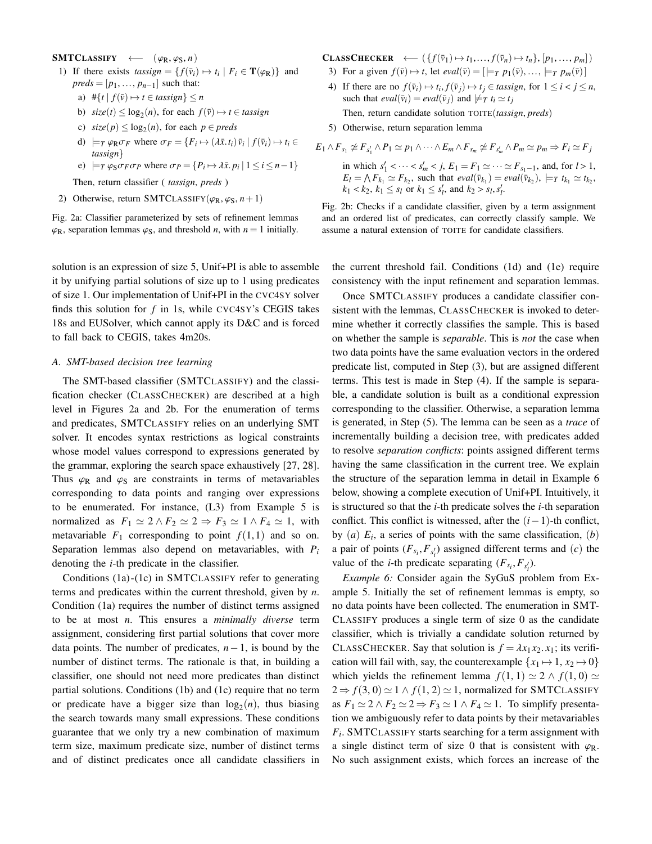## <span id="page-3-0"></span> $SMTCLASSIFY \leftarrow (\varphi_R, \varphi_S, n)$

- 1) If there exists  $t \text{assign} = \{ f(\bar{v}_i) \mapsto t_i \mid F_i \in \mathbf{T}(\varphi_R) \}$  and  $\text{preds} = [v_i, \ldots, v_{i-1}]$  such that  $preds = [p_1, \ldots, p_{n-1}]$  such that:
	- a)  $\#\{t \mid f(\bar{v}) \mapsto t \in \text{tassign}\} \leq n$
	- b)  $size(t) \leq log_2(n)$ , for each  $f(\bar{v}) \mapsto t \in t \text{assign}$
	- c)  $size(p) \leq log_2(n)$ , for each  $p \in \text{preds}$
	- d)  $\models T \varphi_R \sigma_F$  where  $\sigma_F = \{F_i \mapsto (\lambda \bar{x}. t_i) \bar{v}_i \mid f(\bar{v}_i) \mapsto t_i \in$ *tassign*}
	- e)  $\models_T \varphi_S \sigma_F \sigma_P$  where  $\sigma_P = \{P_i \mapsto \lambda \bar{x}, p_i \mid 1 \le i \le n-1\}$

Then, return classifier ( *tassign*, *preds* )

2) Otherwise, return SMTCLASSIFY( $\varphi_R$ ,  $\varphi_S$ ,  $n+1$ )

Fig. 2a: Classifier parameterized by sets of refinement lemmas  $\varphi_R$ , separation lemmas  $\varphi_S$ , and threshold *n*, with  $n = 1$  initially.

solution is an expression of size 5, Unif+PI is able to assemble it by unifying partial solutions of size up to 1 using predicates of size 1. Our implementation of Unif+PI in the CVC4SY solver finds this solution for *f* in 1s, while CVC4SY's CEGIS takes 18s and EUSolver, which cannot apply its D&C and is forced to fall back to CEGIS, takes 4m20s.

## <span id="page-3-2"></span>*A. SMT-based decision tree learning*

The SMT-based classifier (SMTCLASSIFY) and the classification checker (CLASSCHECKER) are described at a high level in Figures [2a](#page-3-0) and [2b.](#page-3-0) For the enumeration of terms and predicates, SMTCLASSIFY relies on an underlying SMT solver. It encodes syntax restrictions as logical constraints whose model values correspond to expressions generated by the grammar, exploring the search space exhaustively [\[27,](#page-8-10) [28\]](#page-8-11). Thus  $\varphi_R$  and  $\varphi_S$  are constraints in terms of metavariables corresponding to data points and ranging over expressions to be enumerated. For instance, (L3) from Example [5](#page-2-1) is normalized as  $F_1 \simeq 2 \wedge F_2 \simeq 2 \Rightarrow F_3 \simeq 1 \wedge F_4 \simeq 1$ , with metavariable  $F_1$  corresponding to point  $f(1,1)$  and so on. Separation lemmas also depend on metavariables, with *P<sup>i</sup>* denoting the *i*-th predicate in the classifier.

Conditions (1a)-(1c) in SMTCLASSIFY refer to generating terms and predicates within the current threshold, given by *n*. Condition (1a) requires the number of distinct terms assigned to be at most *n*. This ensures a *minimally diverse* term assignment, considering first partial solutions that cover more data points. The number of predicates, *n*−1, is bound by the number of distinct terms. The rationale is that, in building a classifier, one should not need more predicates than distinct partial solutions. Conditions (1b) and (1c) require that no term or predicate have a bigger size than  $log_2(n)$ , thus biasing the search towards many small expressions. These conditions guarantee that we only try a new combination of maximum term size, maximum predicate size, number of distinct terms and of distinct predicates once all candidate classifiers in

CLASSCHECKER ←  $({f(\bar{v}_1) \mapsto t_1,..., f(\bar{v}_n) \mapsto t_n}, [p_1,..., p_m])$ 

- 3) For a given  $f(\bar{v}) \mapsto t$ , let  $eval(\bar{v}) = [\models_T p_1(\bar{v}), \dots, \models_T p_m(\bar{v})]$
- 4) If there are no  $f(\bar{v}_i) \mapsto t_i, f(\bar{v}_j) \mapsto t_j \in \text{tassign, for } 1 \leq i < j \leq n$ ,<br>such that  $eval(\bar{v}_i) = eval(\bar{v}_i)$  and  $\forall x, t \in \mathcal{X}$ , such that  $eval(\bar{v}_i) = eval(\bar{v}_j)$  and  $\not\models_T t_i \simeq t_j$

Then, return candidate solution TOITE(*tassign*, *preds*)

5) Otherwise, return separation lemma

$$
E_1 \wedge F_{s_1} \ncong F_{s'_1} \wedge P_1 \simeq p_1 \wedge \cdots \wedge E_m \wedge F_{s_m} \ncong F_{s'_m} \wedge P_m \simeq p_m \Rightarrow F_i \simeq F_j
$$

in which  $s'_1 < \cdots < s'_m < j$ ,  $E_1 = F_1 \simeq \cdots \simeq F_{s_1-1}$ , and, for  $l > 1$ ,<br>  $F_l = \Lambda F_l \simeq F_l$ , such that eval(5.) = eval(5.) = x t,  $\sim t$ .  $E_l = \bigwedge F_{k_1} \simeq F_{k_2}$ , such that  $eval(\bar{v}_{k_1}) = eval(\bar{v}_{k_2})$ ,  $\models_T t_{k_1} \simeq t_{k_2}$ ,  $k_1 < k_2, k_1 \leq s_l$  or  $k_1 \leq s'_l$ , and  $k_2 > s_l, s'_l$ .

Fig. 2b: Checks if a candidate classifier, given by a term assignment and an ordered list of predicates, can correctly classify sample. We assume a natural extension of TOITE for candidate classifiers.

the current threshold fail. Conditions (1d) and (1e) require consistency with the input refinement and separation lemmas.

Once SMTCLASSIFY produces a candidate classifier consistent with the lemmas, CLASSCHECKER is invoked to determine whether it correctly classifies the sample. This is based on whether the sample is *separable*. This is *not* the case when two data points have the same evaluation vectors in the ordered predicate list, computed in Step (3), but are assigned different terms. This test is made in Step (4). If the sample is separable, a candidate solution is built as a conditional expression corresponding to the classifier. Otherwise, a separation lemma is generated, in Step (5). The lemma can be seen as a *trace* of incrementally building a decision tree, with predicates added to resolve *separation conflicts*: points assigned different terms having the same classification in the current tree. We explain the structure of the separation lemma in detail in Example [6](#page-3-1) below, showing a complete execution of Unif+PI. Intuitively, it is structured so that the *i*-th predicate solves the *i*-th separation conflict. This conflict is witnessed, after the (*i*−1)-th conflict, by  $(a)$   $E_i$ , a series of points with the same classification,  $(b)$ a pair of points  $(F_{s_i}, F_{s'_i})$  assigned different terms and  $(c)$  the value of the *i*-th predicate separating  $(F_{s_i}, F_{s'_i})$ .

<span id="page-3-1"></span>*Example 6:* Consider again the SyGuS problem from Example [5.](#page-2-1) Initially the set of refinement lemmas is empty, so no data points have been collected. The enumeration in SMT-CLASSIFY produces a single term of size 0 as the candidate classifier, which is trivially a candidate solution returned by CLASSCHECKER. Say that solution is  $f = \lambda x_1 x_2 x_1$ ; its verification will fail with, say, the counterexample  $\{x_1 \mapsto 1, x_2 \mapsto 0\}$ which yields the refinement lemma  $f(1, 1) \simeq 2 \wedge f(1, 0) \simeq$  $2 \Rightarrow f(3, 0) \simeq 1 \land f(1, 2) \simeq 1$ , normalized for SMTCLASSIFY as  $F_1 \simeq 2 \wedge F_2 \simeq 2 \Rightarrow F_3 \simeq 1 \wedge F_4 \simeq 1$ . To simplify presentation we ambiguously refer to data points by their metavariables *Fi* . SMTCLASSIFY starts searching for a term assignment with a single distinct term of size 0 that is consistent with  $\varphi_R$ . No such assignment exists, which forces an increase of the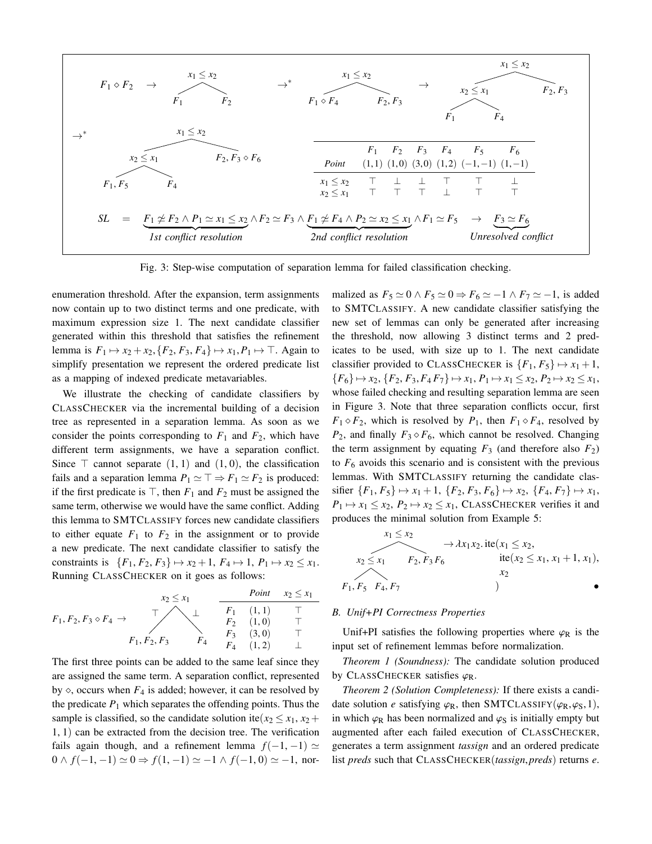<span id="page-4-0"></span>

Fig. 3: Step-wise computation of separation lemma for failed classification checking.

enumeration threshold. After the expansion, term assignments now contain up to two distinct terms and one predicate, with maximum expression size 1. The next candidate classifier generated within this threshold that satisfies the refinement lemma is  $F_1 \mapsto x_2 + x_2$ ,  $\{F_2, F_3, F_4\} \mapsto x_1, P_1 \mapsto \top$ . Again to simplify presentation we represent the ordered predicate list as a mapping of indexed predicate metavariables.

We illustrate the checking of candidate classifiers by CLASSCHECKER via the incremental building of a decision tree as represented in a separation lemma. As soon as we consider the points corresponding to  $F_1$  and  $F_2$ , which have different term assignments, we have a separation conflict. Since  $\top$  cannot separate  $(1, 1)$  and  $(1, 0)$ , the classification fails and a separation lemma  $P_1 \simeq \top \Rightarrow F_1 \simeq F_2$  is produced: if the first predicate is  $\top$ , then  $F_1$  and  $F_2$  must be assigned the same term, otherwise we would have the same conflict. Adding this lemma to SMTCLASSIFY forces new candidate classifiers to either equate  $F_1$  to  $F_2$  in the assignment or to provide a new predicate. The next candidate classifier to satisfy the constraints is  $\{F_1, F_2, F_3\} \mapsto x_2 + 1, F_4 \mapsto 1, P_1 \mapsto x_2 \le x_1$ . Running CLASSCHECKER on it goes as follows:

$$
F_1, F_2, F_3 \diamond F_4 \rightarrow \begin{array}{c} x_2 \leq x_1 \\ \downarrow \\ F_1, F_2, F_3 \end{array} \begin{array}{c} \text{Point} \quad x_2 \leq x_1 \\ \downarrow \\ F_2 \quad (1, 1) \\ F_3 \quad (3, 0) \\ F_4 \quad (1, 2) \end{array} \begin{array}{c} \uparrow \\ \uparrow \\ \uparrow \\ \uparrow \\ \uparrow \\ \downarrow \end{array}
$$

The first three points can be added to the same leaf since they are assigned the same term. A separation conflict, represented by  $\diamond$ , occurs when  $F_4$  is added; however, it can be resolved by the predicate  $P_1$  which separates the offending points. Thus the sample is classified, so the candidate solution ite( $x_2 \leq x_1, x_2 +$ <sup>1</sup>, <sup>1</sup>) can be extracted from the decision tree. The verification fails again though, and a refinement lemma  $f(-1, -1) \simeq$  $0 \wedge f(-1, -1) \simeq 0 \Rightarrow f(1, -1) \simeq -1 \wedge f(-1, 0) \simeq -1$ , normalized as  $F_5 \simeq 0 \wedge F_5 \simeq 0 \Rightarrow F_6 \simeq -1 \wedge F_7 \simeq -1$ , is added to SMTCLASSIFY. A new candidate classifier satisfying the new set of lemmas can only be generated after increasing the threshold, now allowing 3 distinct terms and 2 predicates to be used, with size up to 1. The next candidate classifier provided to CLASSCHECKER is  ${F_1, F_5} \rightarrow x_1 + 1$ ,  ${F_6} \mapsto x_2, {F_2, F_3, F_4F_7} \mapsto x_1, P_1 \mapsto x_1 \leq x_2, P_2 \mapsto x_2 \leq x_1,$ whose failed checking and resulting separation lemma are seen in Figure [3.](#page-4-0) Note that three separation conflicts occur, first  $F_1 \diamond F_2$ , which is resolved by  $P_1$ , then  $F_1 \diamond F_4$ , resolved by  $P_2$ , and finally  $F_3 \diamond F_6$ , which cannot be resolved. Changing the term assignment by equating  $F_3$  (and therefore also  $F_2$ ) to  $F<sub>6</sub>$  avoids this scenario and is consistent with the previous lemmas. With SMTCLASSIFY returning the candidate clas $s$ ifier  ${F_1, F_5} \rightarrow x_1 + 1, {F_2, F_3, F_6} \rightarrow x_2, {F_4, F_7} \rightarrow x_1,$  $P_1 \mapsto x_1 \leq x_2, P_2 \mapsto x_2 \leq x_1$ , CLASSCHECKER verifies it and produces the minimal solution from Example [5:](#page-2-1)

$$
x_1 \le x_2
$$
  
\n
$$
x_2 \le x_1
$$
  
\n
$$
F_2, F_3 F_6
$$
  
\n
$$
x_1 x_2 \text{.} \text{ite}(x_1 \le x_2,
$$
  
\n
$$
\text{ite}(x_2 \le x_1, x_1 + 1, x_1),
$$
  
\n
$$
x_2
$$
  
\n
$$
x_1, F_5, F_4, F_7
$$

# *B. Unif+PI Correctness Properties*

Unif+PI satisfies the following properties where  $\varphi_R$  is the input set of refinement lemmas before normalization.

*Theorem 1 (Soundness):* The candidate solution produced by CLASSCHECKER satisfies  $\varphi_R$ .

*Theorem 2 (Solution Completeness):* If there exists a candidate solution *e* satisfying  $\varphi_R$ , then SMTCLASSIFY( $\varphi_R, \varphi_S, 1$ ), in which  $\varphi_R$  has been normalized and  $\varphi_S$  is initially empty but augmented after each failed execution of CLASSCHECKER, generates a term assignment *tassign* and an ordered predicate list *preds* such that CLASSCHECKER(*tassign*,*preds*) returns *<sup>e</sup>*.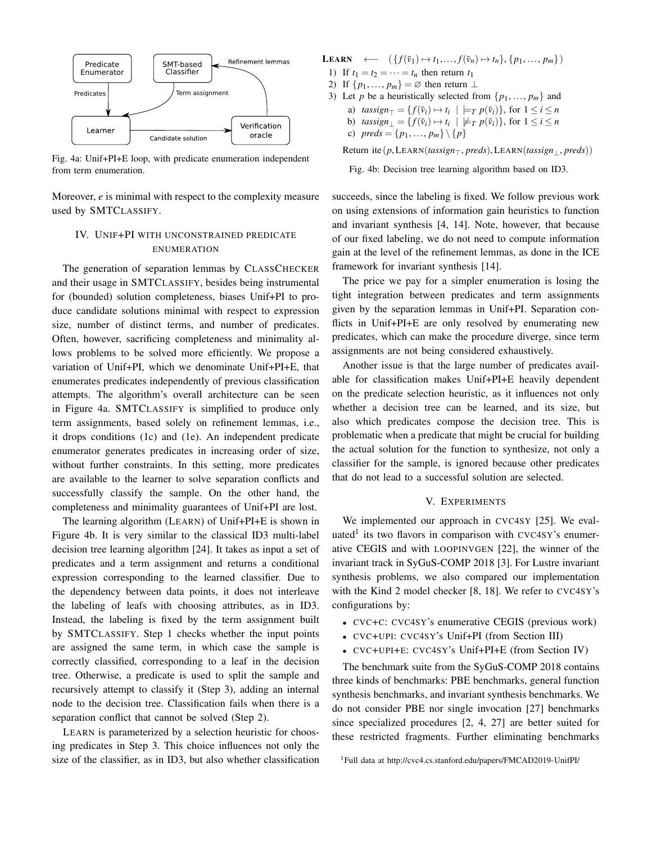<span id="page-5-2"></span>

Fig. 4a: Unif+PI+E loop, with predicate enumeration independent from term enumeration.

Moreover, *e* is minimal with respect to the complexity measure used by SMTCLASSIFY.

# <span id="page-5-0"></span>IV. UNIF+PI WITH UNCONSTRAINED PREDICATE ENUMERATION

The generation of separation lemmas by CLASSCHECKER and their usage in SMTCLASSIFY, besides being instrumental for (bounded) solution completeness, biases Unif+PI to produce candidate solutions minimal with respect to expression size, number of distinct terms, and number of predicates. Often, however, sacrificing completeness and minimality allows problems to be solved more efficiently. We propose a variation of Unif+PI, which we denominate Unif+PI+E, that enumerates predicates independently of previous classification attempts. The algorithm's overall architecture can be seen in Figure [4a.](#page-5-2) SMTCLASSIFY is simplified to produce only term assignments, based solely on refinement lemmas, i.e., it drops conditions (1c) and (1e). An independent predicate enumerator generates predicates in increasing order of size, without further constraints. In this setting, more predicates are available to the learner to solve separation conflicts and successfully classify the sample. On the other hand, the completeness and minimality guarantees of Unif+PI are lost.

The learning algorithm (LEARN) of Unif+PI+E is shown in Figure [4b.](#page-5-2) It is very similar to the classical ID3 multi-label decision tree learning algorithm [\[24\]](#page-8-15). It takes as input a set of predicates and a term assignment and returns a conditional expression corresponding to the learned classifier. Due to the dependency between data points, it does not interleave the labeling of leafs with choosing attributes, as in ID3. Instead, the labeling is fixed by the term assignment built by SMTCLASSIFY. Step 1 checks whether the input points are assigned the same term, in which case the sample is correctly classified, corresponding to a leaf in the decision tree. Otherwise, a predicate is used to split the sample and recursively attempt to classify it (Step 3), adding an internal node to the decision tree. Classification fails when there is a separation conflict that cannot be solved (Step 2).

LEARN is parameterized by a selection heuristic for choosing predicates in Step 3. This choice influences not only the size of the classifier, as in ID3, but also whether classification

LEARN ←  $({f(\bar{v}_1) \mapsto t_1, ..., f(\bar{v}_n) \mapsto t_n}, {p_1, ..., p_m})$ 

- 1) If  $t_1 = t_2 = \cdots = t_n$  then return  $t_1$
- 2) If  $\{p_1, \ldots, p_m\} = \emptyset$  then return  $\perp$
- 3) Let *p* be a heuristically selected from  $\{p_1, \ldots, p_m\}$  and
	- a)  $\text{tassign}_{\top} = \{ f(\bar{v}_i) \mapsto t_i \mid \models_T p(\bar{v}_i) \}, \text{ for } 1 \leq i \leq n$
	- b)  $\text{tassign}_{\perp} = \{ f(\bar{v}_i) \mapsto t_i \mid \not\models T p(\bar{v}_i) \}, \text{ for } 1 \leq i \leq n$
	- c)  $\text{preds} = \{p_1, ..., p_m\} \setminus \{p\}$

Return ite (*p*,LEARN(*tassign*>, *preds*),LEARN(*tassign*⊥, *preds*))

Fig. 4b: Decision tree learning algorithm based on ID3.

succeeds, since the labeling is fixed. We follow previous work on using extensions of information gain heuristics to function and invariant synthesis [\[4,](#page-8-6) [14\]](#page-8-16). Note, however, that because of our fixed labeling, we do not need to compute information gain at the level of the refinement lemmas, as done in the ICE framework for invariant synthesis [\[14\]](#page-8-16).

The price we pay for a simpler enumeration is losing the tight integration between predicates and term assignments given by the separation lemmas in Unif+PI. Separation conflicts in Unif+PI+E are only resolved by enumerating new predicates, which can make the procedure diverge, since term assignments are not being considered exhaustively.

Another issue is that the large number of predicates available for classification makes Unif+PI+E heavily dependent on the predicate selection heuristic, as it influences not only whether a decision tree can be learned, and its size, but also which predicates compose the decision tree. This is problematic when a predicate that might be crucial for building the actual solution for the function to synthesize, not only a classifier for the sample, is ignored because other predicates that do not lead to a successful solution are selected.

## V. EXPERIMENTS

<span id="page-5-1"></span>We implemented our approach in CVC4SY [\[25\]](#page-8-12). We eval-uated<sup>[1](#page-5-3)</sup> its two flavors in comparison with CVC4SY's enumerative CEGIS and with LOOPINVGEN [\[22\]](#page-8-17), the winner of the invariant track in SyGuS-COMP 2018 [\[3\]](#page-8-18). For Lustre invariant synthesis problems, we also compared our implementation with the Kind 2 model checker [\[8,](#page-8-19) [18\]](#page-8-20). We refer to CVC4SY's configurations by:

- CVC+C: CVC4SY's enumerative CEGIS (previous work)
- CVC+UPI: CVC4SY's Unif+PI (from Section [III\)](#page-2-0)
- CVC+UPI+E: CVC4SY's Unif+PI+E (from Section [IV\)](#page-5-0)

The benchmark suite from the SyGuS-COMP 2018 contains three kinds of benchmarks: PBE benchmarks, general function synthesis benchmarks, and invariant synthesis benchmarks. We do not consider PBE nor single invocation [\[27\]](#page-8-10) benchmarks since specialized procedures [\[2,](#page-8-5) [4,](#page-8-6) [27\]](#page-8-10) are better suited for these restricted fragments. Further eliminating benchmarks

<span id="page-5-3"></span><sup>1</sup>Full data at<http://cvc4.cs.stanford.edu/papers/FMCAD2019-UnifPI/>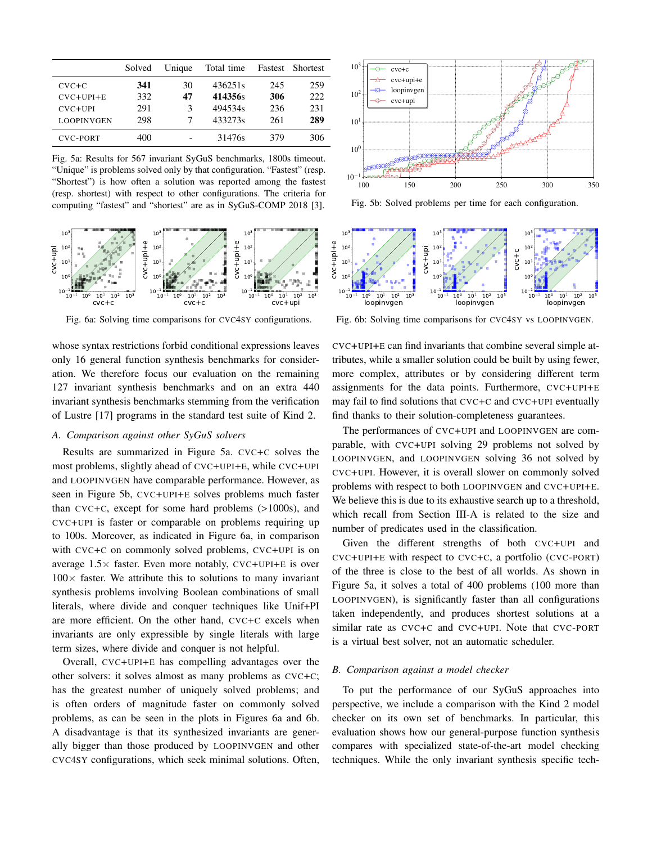<span id="page-6-0"></span>

|                 | Solved | Unique | Total time |     | Fastest Shortest |
|-----------------|--------|--------|------------|-----|------------------|
| $CVC+C$         | 341    | 30     | 436251s    | 245 | 259              |
| $CVC+UPI+E$     | 332    | 47     | 414356s    | 306 | 222              |
| $CVC+UPI$       | 291    | 3      | 494534s    | 236 | 231              |
| LOOPINVGEN      | 298    |        | 433273s    | 261 | 289              |
| <b>CVC-PORT</b> | 400    |        | 31476s     | 379 | 306              |

Fig. 5a: Results for 567 invariant SyGuS benchmarks, 1800s timeout. "Unique" is problems solved only by that configuration. "Fastest" (resp. "Shortest") is how often a solution was reported among the fastest (resp. shortest) with respect to other configurations. The criteria for computing "fastest" and "shortest" are as in SyGuS-COMP 2018 [\[3\]](#page-8-18).

<span id="page-6-1"></span>

Fig. 6a: Solving time comparisons for CVC4SY configurations.

whose syntax restrictions forbid conditional expressions leaves only 16 general function synthesis benchmarks for consideration. We therefore focus our evaluation on the remaining 127 invariant synthesis benchmarks and on an extra 440 invariant synthesis benchmarks stemming from the verification of Lustre [\[17\]](#page-8-21) programs in the standard test suite of Kind 2.

#### *A. Comparison against other SyGuS solvers*

Results are summarized in Figure [5a.](#page-6-0) CVC+C solves the most problems, slightly ahead of CVC+UPI+E, while CVC+UPI and LOOPINVGEN have comparable performance. However, as seen in Figure [5b,](#page-6-0) CVC+UPI+E solves problems much faster than CVC+C, except for some hard problems (>1000s), and CVC+UPI is faster or comparable on problems requiring up to 100s. Moreover, as indicated in Figure [6a,](#page-6-1) in comparison with CVC+C on commonly solved problems, CVC+UPI is on average  $1.5\times$  faster. Even more notably, CVC+UPI+E is over  $100\times$  faster. We attribute this to solutions to many invariant synthesis problems involving Boolean combinations of small literals, where divide and conquer techniques like Unif+PI are more efficient. On the other hand, CVC+C excels when invariants are only expressible by single literals with large term sizes, where divide and conquer is not helpful.

Overall, CVC+UPI+E has compelling advantages over the other solvers: it solves almost as many problems as CVC+C; has the greatest number of uniquely solved problems; and is often orders of magnitude faster on commonly solved problems, as can be seen in the plots in Figures [6a](#page-6-1) and [6b.](#page-6-1) A disadvantage is that its synthesized invariants are generally bigger than those produced by LOOPINVGEN and other CVC4SY configurations, which seek minimal solutions. Often,



Fig. 5b: Solved problems per time for each configuration.



Fig. 6b: Solving time comparisons for CVC4SY vs LOOPINVGEN.

CVC+UPI+E can find invariants that combine several simple attributes, while a smaller solution could be built by using fewer, more complex, attributes or by considering different term assignments for the data points. Furthermore, CVC+UPI+E may fail to find solutions that CVC+C and CVC+UPI eventually find thanks to their solution-completeness guarantees.

The performances of CVC+UPI and LOOPINVGEN are comparable, with CVC+UPI solving 29 problems not solved by LOOPINVGEN, and LOOPINVGEN solving 36 not solved by CVC+UPI. However, it is overall slower on commonly solved problems with respect to both LOOPINVGEN and CVC+UPI+E. We believe this is due to its exhaustive search up to a threshold, which recall from Section [III-A](#page-3-2) is related to the size and number of predicates used in the classification.

Given the different strengths of both CVC+UPI and CVC+UPI+E with respect to CVC+C, a portfolio (CVC-PORT) of the three is close to the best of all worlds. As shown in Figure [5a,](#page-6-0) it solves a total of 400 problems (100 more than LOOPINVGEN), is significantly faster than all configurations taken independently, and produces shortest solutions at a similar rate as CVC+C and CVC+UPI. Note that CVC-PORT is a virtual best solver, not an automatic scheduler.

## *B. Comparison against a model checker*

To put the performance of our SyGuS approaches into perspective, we include a comparison with the Kind 2 model checker on its own set of benchmarks. In particular, this evaluation shows how our general-purpose function synthesis compares with specialized state-of-the-art model checking techniques. While the only invariant synthesis specific tech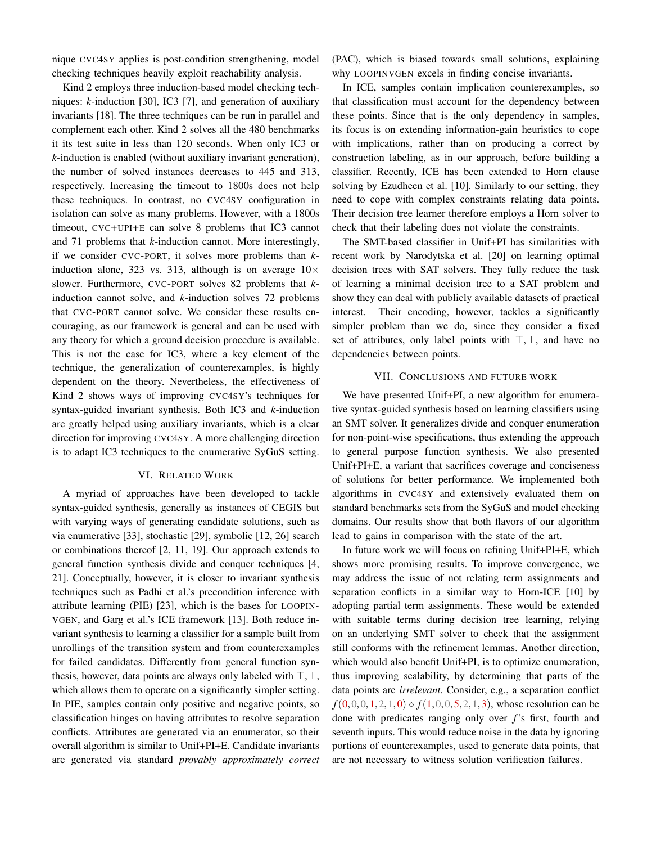nique CVC4SY applies is post-condition strengthening, model checking techniques heavily exploit reachability analysis.

Kind 2 employs three induction-based model checking techniques: *k*-induction [\[30\]](#page-8-22), IC3 [\[7\]](#page-8-23), and generation of auxiliary invariants [\[18\]](#page-8-20). The three techniques can be run in parallel and complement each other. Kind 2 solves all the 480 benchmarks it its test suite in less than 120 seconds. When only IC3 or *k*-induction is enabled (without auxiliary invariant generation), the number of solved instances decreases to 445 and 313, respectively. Increasing the timeout to 1800s does not help these techniques. In contrast, no CVC4SY configuration in isolation can solve as many problems. However, with a 1800s timeout, CVC+UPI+E can solve 8 problems that IC3 cannot and 71 problems that *k*-induction cannot. More interestingly, if we consider CVC-PORT, it solves more problems than *k*induction alone, 323 vs. 313, although is on average  $10\times$ slower. Furthermore, CVC-PORT solves 82 problems that *k*induction cannot solve, and *k*-induction solves 72 problems that CVC-PORT cannot solve. We consider these results encouraging, as our framework is general and can be used with any theory for which a ground decision procedure is available. This is not the case for IC3, where a key element of the technique, the generalization of counterexamples, is highly dependent on the theory. Nevertheless, the effectiveness of Kind 2 shows ways of improving CVC4SY's techniques for syntax-guided invariant synthesis. Both IC3 and *k*-induction are greatly helped using auxiliary invariants, which is a clear direction for improving CVC4SY. A more challenging direction is to adapt IC3 techniques to the enumerative SyGuS setting.

## VI. RELATED WORK

A myriad of approaches have been developed to tackle syntax-guided synthesis, generally as instances of CEGIS but with varying ways of generating candidate solutions, such as via enumerative [\[33\]](#page-8-4), stochastic [\[29\]](#page-8-24), symbolic [\[12,](#page-8-25) [26\]](#page-8-7) search or combinations thereof [\[2,](#page-8-5) [11,](#page-8-26) [19\]](#page-8-27). Our approach extends to general function synthesis divide and conquer techniques [\[4,](#page-8-6) [21\]](#page-8-28). Conceptually, however, it is closer to invariant synthesis techniques such as Padhi et al.'s precondition inference with attribute learning (PIE) [\[23\]](#page-8-29), which is the bases for LOOPIN-VGEN, and Garg et al.'s ICE framework [\[13\]](#page-8-30). Both reduce invariant synthesis to learning a classifier for a sample built from unrollings of the transition system and from counterexamples for failed candidates. Differently from general function synthesis, however, data points are always only labeled with  $\top, \bot$ , which allows them to operate on a significantly simpler setting. In PIE, samples contain only positive and negative points, so classification hinges on having attributes to resolve separation conflicts. Attributes are generated via an enumerator, so their overall algorithm is similar to Unif+PI+E. Candidate invariants are generated via standard *provably approximately correct* (PAC), which is biased towards small solutions, explaining why LOOPINVGEN excels in finding concise invariants.

In ICE, samples contain implication counterexamples, so that classification must account for the dependency between these points. Since that is the only dependency in samples, its focus is on extending information-gain heuristics to cope with implications, rather than on producing a correct by construction labeling, as in our approach, before building a classifier. Recently, ICE has been extended to Horn clause solving by Ezudheen et al. [\[10\]](#page-8-31). Similarly to our setting, they need to cope with complex constraints relating data points. Their decision tree learner therefore employs a Horn solver to check that their labeling does not violate the constraints.

The SMT-based classifier in Unif+PI has similarities with recent work by Narodytska et al. [\[20\]](#page-8-32) on learning optimal decision trees with SAT solvers. They fully reduce the task of learning a minimal decision tree to a SAT problem and show they can deal with publicly available datasets of practical interest. Their encoding, however, tackles a significantly simpler problem than we do, since they consider a fixed set of attributes, only label points with  $\top, \bot$ , and have no dependencies between points.

### VII. CONCLUSIONS AND FUTURE WORK

We have presented Unif+PI, a new algorithm for enumerative syntax-guided synthesis based on learning classifiers using an SMT solver. It generalizes divide and conquer enumeration for non-point-wise specifications, thus extending the approach to general purpose function synthesis. We also presented Unif+PI+E, a variant that sacrifices coverage and conciseness of solutions for better performance. We implemented both algorithms in CVC4SY and extensively evaluated them on standard benchmarks sets from the SyGuS and model checking domains. Our results show that both flavors of our algorithm lead to gains in comparison with the state of the art.

In future work we will focus on refining Unif+PI+E, which shows more promising results. To improve convergence, we may address the issue of not relating term assignments and separation conflicts in a similar way to Horn-ICE [\[10\]](#page-8-31) by adopting partial term assignments. These would be extended with suitable terms during decision tree learning, relying on an underlying SMT solver to check that the assignment still conforms with the refinement lemmas. Another direction, which would also benefit Unif+PI, is to optimize enumeration, thus improving scalability, by determining that parts of the data points are *irrelevant*. Consider, e.g., a separation conflict  $f(0,0,0,1,2,1,0) \diamond f(1,0,0,5,2,1,3)$ , whose resolution can be done with predicates ranging only over *f*'s first, fourth and seventh inputs. This would reduce noise in the data by ignoring portions of counterexamples, used to generate data points, that are not necessary to witness solution verification failures.